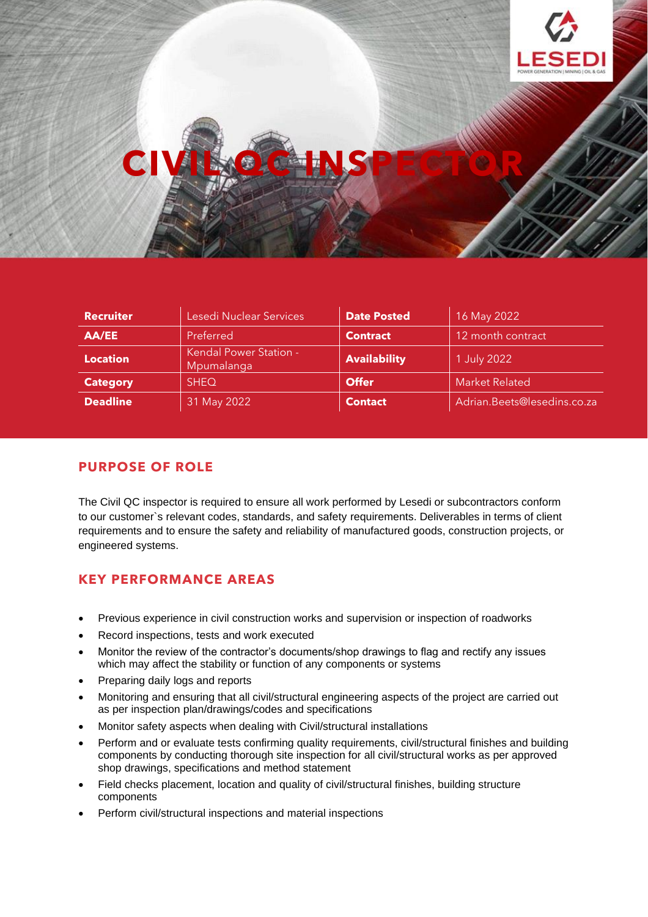

# **CIVIL QC INSPECTOR**

| <b>Recruiter</b> | Lesedi Nuclear Services                     | <b>Date Posted</b>  | 16 May 2022                 |
|------------------|---------------------------------------------|---------------------|-----------------------------|
| AA/EE            | Preferred                                   | <b>Contract</b>     | 12 month contract           |
| <b>Location</b>  | <b>Kendal Power Station -</b><br>Mpumalanga | <b>Availability</b> | 1 July 2022                 |
| <b>Category</b>  | <b>SHEQ</b>                                 | <b>Offer</b>        | <b>Market Related</b>       |
| <b>Deadline</b>  | 31 May 2022                                 | <b>Contact</b>      | Adrian.Beets@lesedins.co.za |

## **PURPOSE OF ROLE**

The Civil QC inspector is required to ensure all work performed by Lesedi or subcontractors conform to our customer`s relevant codes, standards, and safety requirements. Deliverables in terms of client requirements and to ensure the safety and reliability of manufactured goods, construction projects, or engineered systems.

## **KEY PERFORMANCE AREAS**

- Previous experience in civil construction works and supervision or inspection of roadworks
- Record inspections, tests and work executed
- Monitor the review of the contractor's documents/shop drawings to flag and rectify any issues which may affect the stability or function of any components or systems
- Preparing daily logs and reports
- Monitoring and ensuring that all civil/structural engineering aspects of the project are carried out as per inspection plan/drawings/codes and specifications
- Monitor safety aspects when dealing with Civil/structural installations
- Perform and or evaluate tests confirming quality requirements, civil/structural finishes and building components by conducting thorough site inspection for all civil/structural works as per approved shop drawings, specifications and method statement
- Field checks placement, location and quality of civil/structural finishes, building structure components
- Perform civil/structural inspections and material inspections